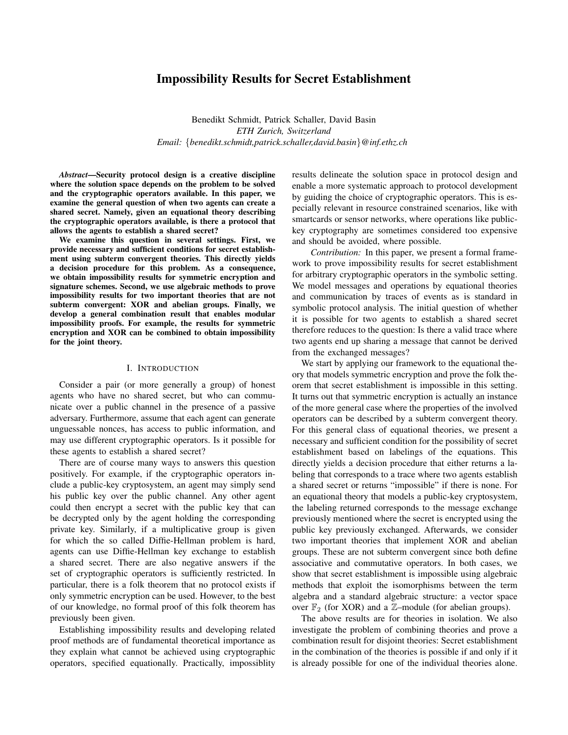# Impossibility Results for Secret Establishment

Benedikt Schmidt, Patrick Schaller, David Basin *ETH Zurich, Switzerland Email:* {*benedikt.schmidt,patrick.schaller,david.basin*}*@inf.ethz.ch*

*Abstract*—Security protocol design is a creative discipline where the solution space depends on the problem to be solved and the cryptographic operators available. In this paper, we examine the general question of when two agents can create a shared secret. Namely, given an equational theory describing the cryptographic operators available, is there a protocol that allows the agents to establish a shared secret?

We examine this question in several settings. First, we provide necessary and sufficient conditions for secret establishment using subterm convergent theories. This directly yields a decision procedure for this problem. As a consequence, we obtain impossibility results for symmetric encryption and signature schemes. Second, we use algebraic methods to prove impossibility results for two important theories that are not subterm convergent: XOR and abelian groups. Finally, we develop a general combination result that enables modular impossibility proofs. For example, the results for symmetric encryption and XOR can be combined to obtain impossibility for the joint theory.

#### I. INTRODUCTION

Consider a pair (or more generally a group) of honest agents who have no shared secret, but who can communicate over a public channel in the presence of a passive adversary. Furthermore, assume that each agent can generate unguessable nonces, has access to public information, and may use different cryptographic operators. Is it possible for these agents to establish a shared secret?

There are of course many ways to answers this question positively. For example, if the cryptographic operators include a public-key cryptosystem, an agent may simply send his public key over the public channel. Any other agent could then encrypt a secret with the public key that can be decrypted only by the agent holding the corresponding private key. Similarly, if a multiplicative group is given for which the so called Diffie-Hellman problem is hard, agents can use Diffie-Hellman key exchange to establish a shared secret. There are also negative answers if the set of cryptographic operators is sufficiently restricted. In particular, there is a folk theorem that no protocol exists if only symmetric encryption can be used. However, to the best of our knowledge, no formal proof of this folk theorem has previously been given.

Establishing impossibility results and developing related proof methods are of fundamental theoretical importance as they explain what cannot be achieved using cryptographic operators, specified equationally. Practically, impossiblity results delineate the solution space in protocol design and enable a more systematic approach to protocol development by guiding the choice of cryptographic operators. This is especially relevant in resource constrained scenarios, like with smartcards or sensor networks, where operations like publickey cryptography are sometimes considered too expensive and should be avoided, where possible.

*Contribution:* In this paper, we present a formal framework to prove impossibility results for secret establishment for arbitrary cryptographic operators in the symbolic setting. We model messages and operations by equational theories and communication by traces of events as is standard in symbolic protocol analysis. The initial question of whether it is possible for two agents to establish a shared secret therefore reduces to the question: Is there a valid trace where two agents end up sharing a message that cannot be derived from the exchanged messages?

We start by applying our framework to the equational theory that models symmetric encryption and prove the folk theorem that secret establishment is impossible in this setting. It turns out that symmetric encryption is actually an instance of the more general case where the properties of the involved operators can be described by a subterm convergent theory. For this general class of equational theories, we present a necessary and sufficient condition for the possibility of secret establishment based on labelings of the equations. This directly yields a decision procedure that either returns a labeling that corresponds to a trace where two agents establish a shared secret or returns "impossible" if there is none. For an equational theory that models a public-key cryptosystem, the labeling returned corresponds to the message exchange previously mentioned where the secret is encrypted using the public key previously exchanged. Afterwards, we consider two important theories that implement XOR and abelian groups. These are not subterm convergent since both define associative and commutative operators. In both cases, we show that secret establishment is impossible using algebraic methods that exploit the isomorphisms between the term algebra and a standard algebraic structure: a vector space over  $\mathbb{F}_2$  (for XOR) and a Z-module (for abelian groups).

The above results are for theories in isolation. We also investigate the problem of combining theories and prove a combination result for disjoint theories: Secret establishment in the combination of the theories is possible if and only if it is already possible for one of the individual theories alone.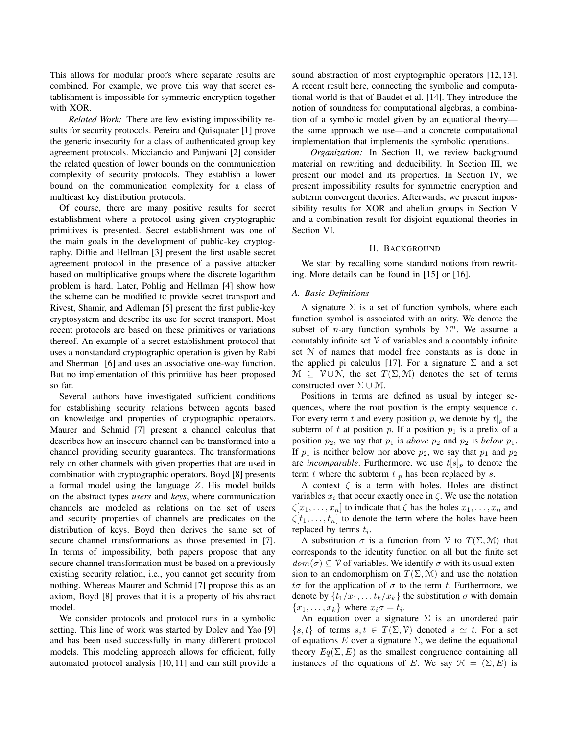This allows for modular proofs where separate results are combined. For example, we prove this way that secret establishment is impossible for symmetric encryption together with XOR.

*Related Work:* There are few existing impossibility results for security protocols. Pereira and Quisquater [1] prove the generic insecurity for a class of authenticated group key agreement protocols. Micciancio and Panjwani [2] consider the related question of lower bounds on the communication complexity of security protocols. They establish a lower bound on the communication complexity for a class of multicast key distribution protocols.

Of course, there are many positive results for secret establishment where a protocol using given cryptographic primitives is presented. Secret establishment was one of the main goals in the development of public-key cryptography. Diffie and Hellman [3] present the first usable secret agreement protocol in the presence of a passive attacker based on multiplicative groups where the discrete logarithm problem is hard. Later, Pohlig and Hellman [4] show how the scheme can be modified to provide secret transport and Rivest, Shamir, and Adleman [5] present the first public-key cryptosystem and describe its use for secret transport. Most recent protocols are based on these primitives or variations thereof. An example of a secret establishment protocol that uses a nonstandard cryptographic operation is given by Rabi and Sherman [6] and uses an associative one-way function. But no implementation of this primitive has been proposed so far.

Several authors have investigated sufficient conditions for establishing security relations between agents based on knowledge and properties of cryptographic operators. Maurer and Schmid [7] present a channel calculus that describes how an insecure channel can be transformed into a channel providing security guarantees. The transformations rely on other channels with given properties that are used in combination with cryptographic operators. Boyd [8] presents a formal model using the language Z. His model builds on the abstract types *users* and *keys*, where communication channels are modeled as relations on the set of users and security properties of channels are predicates on the distribution of keys. Boyd then derives the same set of secure channel transformations as those presented in [7]. In terms of impossibility, both papers propose that any secure channel transformation must be based on a previously existing security relation, i.e., you cannot get security from nothing. Whereas Maurer and Schmid [7] propose this as an axiom, Boyd [8] proves that it is a property of his abstract model.

We consider protocols and protocol runs in a symbolic setting. This line of work was started by Dolev and Yao [9] and has been used successfully in many different protocol models. This modeling approach allows for efficient, fully automated protocol analysis [10, 11] and can still provide a sound abstraction of most cryptographic operators [12, 13]. A recent result here, connecting the symbolic and computational world is that of Baudet et al. [14]. They introduce the notion of soundness for computational algebras, a combination of a symbolic model given by an equational theory the same approach we use—and a concrete computational implementation that implements the symbolic operations.

*Organization:* In Section II, we review background material on rewriting and deducibility. In Section III, we present our model and its properties. In Section IV, we present impossibility results for symmetric encryption and subterm convergent theories. Afterwards, we present impossibility results for XOR and abelian groups in Section V and a combination result for disjoint equational theories in Section VI.

#### II. BACKGROUND

We start by recalling some standard notions from rewriting. More details can be found in [15] or [16].

#### *A. Basic Definitions*

A signature  $\Sigma$  is a set of function symbols, where each function symbol is associated with an arity. We denote the subset of *n*-ary function symbols by  $\Sigma<sup>n</sup>$ . We assume a countably infinite set  $\mathcal V$  of variables and a countably infinite set N of names that model free constants as is done in the applied pi calculus [17]. For a signature  $\Sigma$  and a set  $M \subseteq V \cup N$ , the set  $T(\Sigma, M)$  denotes the set of terms constructed over  $\Sigma \cup M$ .

Positions in terms are defined as usual by integer sequences, where the root position is the empty sequence  $\epsilon$ . For every term t and every position p, we denote by  $t|_p$  the subterm of t at position p. If a position  $p_1$  is a prefix of a position  $p_2$ , we say that  $p_1$  is *above*  $p_2$  and  $p_2$  is *below*  $p_1$ . If  $p_1$  is neither below nor above  $p_2$ , we say that  $p_1$  and  $p_2$ are *incomparable*. Furthermore, we use  $t[s]_p$  to denote the term t where the subterm  $t|_p$  has been replaced by s.

A context  $\zeta$  is a term with holes. Holes are distinct variables  $x_i$  that occur exactly once in  $\zeta$ . We use the notation  $\zeta[x_1,\ldots,x_n]$  to indicate that  $\zeta$  has the holes  $x_1,\ldots,x_n$  and  $\zeta[t_1,\ldots,t_n]$  to denote the term where the holes have been replaced by terms  $t_i$ .

A substitution  $\sigma$  is a function from V to  $T(\Sigma, \mathcal{M})$  that corresponds to the identity function on all but the finite set  $dom(\sigma) \subset V$  of variables. We identify  $\sigma$  with its usual extension to an endomorphism on  $T(\Sigma, \mathcal{M})$  and use the notation to for the application of  $\sigma$  to the term t. Furthermore, we denote by  $\{t_1/x_1, \ldots t_k/x_k\}$  the substitution  $\sigma$  with domain  ${x_1, \ldots, x_k}$  where  $x_i \sigma = t_i$ .

An equation over a signature  $\Sigma$  is an unordered pair  $\{s, t\}$  of terms  $s, t \in T(\Sigma, V)$  denoted  $s \simeq t$ . For a set of equations E over a signature  $\Sigma$ , we define the equational theory  $Eq(\Sigma, E)$  as the smallest congruence containing all instances of the equations of E. We say  $\mathcal{H} = (\Sigma, E)$  is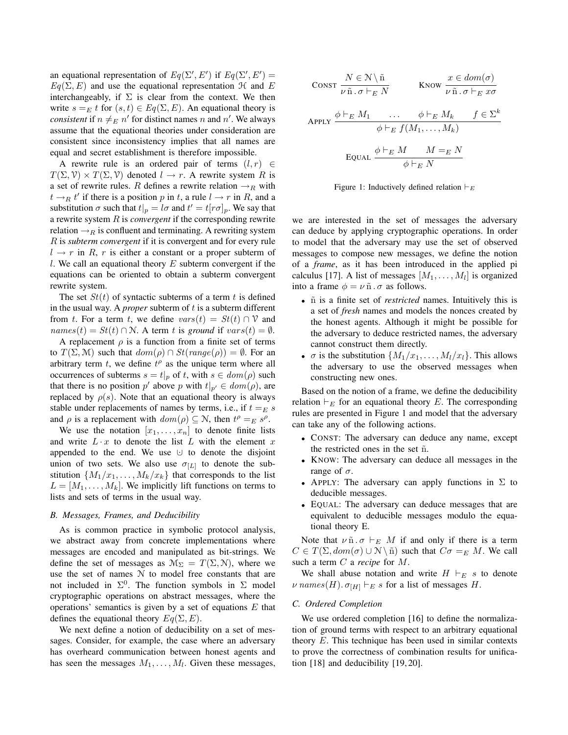an equational representation of  $Eq(\Sigma', E')$  if  $Eq(\Sigma', E') =$  $Eq(\Sigma, E)$  and use the equational representation  $H$  and E interchangeably, if  $\Sigma$  is clear from the context. We then write  $s =_E t$  for  $(s, t) \in Eq(\Sigma, E)$ . An equational theory is *consistent* if  $n \neq_E n'$  for distinct names n and n'. We always assume that the equational theories under consideration are consistent since inconsistency implies that all names are equal and secret establishment is therefore impossible.

A rewrite rule is an ordered pair of terms  $(l, r) \in$  $T(\Sigma, \mathcal{V}) \times T(\Sigma, \mathcal{V})$  denoted  $l \to r$ . A rewrite system R is a set of rewrite rules. R defines a rewrite relation  $\rightarrow_R$  with  $t \rightarrow_R t'$  if there is a position p in t, a rule  $l \rightarrow r$  in R, and a substitution  $\sigma$  such that  $t|_p = l\sigma$  and  $t' = t[r\sigma]_p$ . We say that a rewrite system R is *convergent* if the corresponding rewrite relation  $\rightarrow$ <sub>R</sub> is confluent and terminating. A rewriting system R is *subterm convergent* if it is convergent and for every rule  $l \rightarrow r$  in R, r is either a constant or a proper subterm of l. We call an equational theory  $E$  subterm convergent if the equations can be oriented to obtain a subterm convergent rewrite system.

The set  $St(t)$  of syntactic subterms of a term t is defined in the usual way. A *proper* subterm of t is a subterm different from t. For a term t, we define  $vars(t) = St(t) \cap V$  and  $names(t) = St(t) \cap \mathcal{N}$ . A term t is ground if  $vars(t) = \emptyset$ .

A replacement  $\rho$  is a function from a finite set of terms to  $T(\Sigma, \mathcal{M})$  such that  $dom(\rho) \cap St(range(\rho)) = \emptyset$ . For an arbitrary term  $t$ , we define  $t^{\rho}$  as the unique term where all occurrences of subterms  $s = t|_p$  of t, with  $s \in dom(\rho)$  such that there is no position p' above p with  $t|_{p'} \in dom(\rho)$ , are replaced by  $\rho(s)$ . Note that an equational theory is always stable under replacements of names by terms, i.e., if  $t =_E s$ and  $\rho$  is a replacement with  $dom(\rho) \subseteq N$ , then  $t^{\rho} =_E s^{\rho}$ .

We use the notation  $[x_1, \ldots, x_n]$  to denote finite lists and write  $L \cdot x$  to denote the list L with the element x appended to the end. We use  $\cup$  to denote the disjoint union of two sets. We also use  $\sigma_{[L]}$  to denote the substitution  $\{M_1/x_1, \ldots, M_k/x_k\}$  that corresponds to the list  $L = [M_1, \ldots, M_k]$ . We implicitly lift functions on terms to lists and sets of terms in the usual way.

## *B. Messages, Frames, and Deducibility*

As is common practice in symbolic protocol analysis, we abstract away from concrete implementations where messages are encoded and manipulated as bit-strings. We define the set of messages as  $\mathcal{M}_{\Sigma} = T(\Sigma, \mathcal{N})$ , where we use the set of names N to model free constants that are not included in  $\Sigma^0$ . The function symbols in  $\Sigma$  model cryptographic operations on abstract messages, where the operations' semantics is given by a set of equations  $E$  that defines the equational theory  $Eq(\Sigma, E)$ .

We next define a notion of deducibility on a set of messages. Consider, for example, the case where an adversary has overheard communication between honest agents and has seen the messages  $M_1, \ldots, M_l$ . Given these messages,

$$
\text{Consr } \frac{N \in \mathcal{N} \setminus \tilde{n}}{\nu \tilde{n} \cdot \sigma \vdash_E N} \qquad \text{Know } \frac{x \in dom(\sigma)}{\nu \tilde{n} \cdot \sigma \vdash_E x\sigma}
$$

$$
\text{APPLY} \quad \frac{\phi \vdash_E M_1 \quad \cdots \quad \phi \vdash_E M_k \quad f \in \Sigma^k}{\phi \vdash_E f(M_1, \ldots, M_k)}
$$
\n
$$
\text{EQUAL} \quad \frac{\phi \vdash_E M \quad M =_E N}{\phi \vdash_E N}
$$

Figure 1: Inductively defined relation  $\vdash_E$ 

we are interested in the set of messages the adversary can deduce by applying cryptographic operations. In order to model that the adversary may use the set of observed messages to compose new messages, we define the notion of a *frame*, as it has been introduced in the applied pi calculus [17]. A list of messages  $[M_1, \ldots, M_l]$  is organized into a frame  $\phi = \nu \tilde{n} \cdot \sigma$  as follows.

- ˜n is a finite set of *restricted* names. Intuitively this is a set of *fresh* names and models the nonces created by the honest agents. Although it might be possible for the adversary to deduce restricted names, the adversary cannot construct them directly.
- $\sigma$  is the substitution  $\{M_1/x_1, \ldots, M_l/x_l\}$ . This allows the adversary to use the observed messages when constructing new ones.

Based on the notion of a frame, we define the deducibility relation  $\vdash_E$  for an equational theory E. The corresponding rules are presented in Figure 1 and model that the adversary can take any of the following actions.

- CONST: The adversary can deduce any name, except the restricted ones in the set  $\tilde{n}$ .
- KNOW: The adversary can deduce all messages in the range of  $\sigma$ .
- APPLY: The adversary can apply functions in  $\Sigma$  to deducible messages.
- EQUAL: The adversary can deduce messages that are equivalent to deducible messages modulo the equational theory E.

Note that  $\nu \tilde{n} \cdot \sigma \vdash_E M$  if and only if there is a term  $C \in T(\Sigma, dom(\sigma) \cup \mathcal{N} \setminus \tilde{n})$  such that  $C\sigma =_{E} M$ . We call such a term C a *recipe* for M.

We shall abuse notation and write  $H \vdash_E s$  to denote  $\nu$  names(H).  $\sigma_{[H]} \vdash_E s$  for a list of messages H.

## *C. Ordered Completion*

We use ordered completion [16] to define the normalization of ground terms with respect to an arbitrary equational theory E. This technique has been used in similar contexts to prove the correctness of combination results for unification [18] and deducibility [19, 20].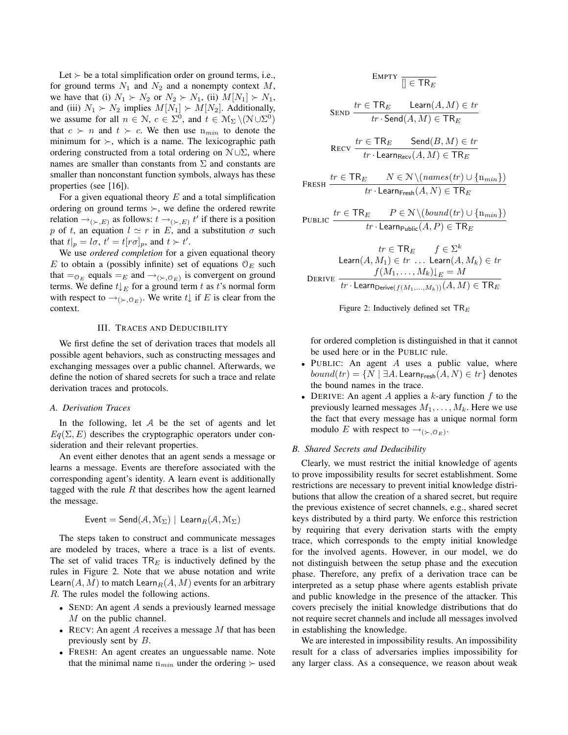Let  $\succ$  be a total simplification order on ground terms, i.e., for ground terms  $N_1$  and  $N_2$  and a nonempty context  $M$ , we have that (i)  $N_1 \succ N_2$  or  $N_2 \succ N_1$ , (ii)  $M[N_1] \succ N_1$ , and (iii)  $N_1 \succ N_2$  implies  $M[N_1] \succ M[N_2]$ . Additionally, we assume for all  $n \in \mathbb{N}$ ,  $c \in \Sigma^0$ , and  $t \in \mathcal{M}_{\Sigma} \setminus (\mathcal{N} \cup \Sigma^0)$ that  $c > n$  and  $t > c$ . We then use  $n_{min}$  to denote the minimum for  $\succ$ , which is a name. The lexicographic path ordering constructed from a total ordering on N ∪Σ, where names are smaller than constants from  $\Sigma$  and constants are smaller than nonconstant function symbols, always has these properties (see [16]).

For a given equational theory  $E$  and a total simplification ordering on ground terms  $\succ$ , we define the ordered rewrite relation  $\rightarrow_{(\succ,E)}$  as follows:  $t \rightarrow_{(\succ,E)} t'$  if there is a position p of t, an equation  $l \simeq r$  in E, and a substitution  $\sigma$  such that  $t|_p = l\sigma$ ,  $t' = t[r\sigma]_p$ , and  $t \succ t'$ .

We use *ordered completion* for a given equational theory E to obtain a (possibly infinite) set of equations  $\mathcal{O}_E$  such that  $=_{\mathcal{O}_E}$  equals  $=_E$  and  $\rightarrow_{(\succ, \mathcal{O}_E)}$  is convergent on ground terms. We define  $t\downarrow_E$  for a ground term t as t's normal form with respect to  $\rightarrow_{(\succ, 0_E)}$ . We write  $t\downarrow$  if E is clear from the context.

## III. TRACES AND DEDUCIBILITY

We first define the set of derivation traces that models all possible agent behaviors, such as constructing messages and exchanging messages over a public channel. Afterwards, we define the notion of shared secrets for such a trace and relate derivation traces and protocols.

#### *A. Derivation Traces*

In the following, let  $A$  be the set of agents and let  $Eq(\Sigma, E)$  describes the cryptographic operators under consideration and their relevant properties.

An event either denotes that an agent sends a message or learns a message. Events are therefore associated with the corresponding agent's identity. A learn event is additionally tagged with the rule  $R$  that describes how the agent learned the message.

$$
\mathsf{Event} = \mathsf{Send}(\mathcal{A}, \mathcal{M}_{\Sigma}) \mid \mathsf{Learn}_R(\mathcal{A}, \mathcal{M}_{\Sigma})
$$

The steps taken to construct and communicate messages are modeled by traces, where a trace is a list of events. The set of valid traces  $TR<sub>E</sub>$  is inductively defined by the rules in Figure 2. Note that we abuse notation and write Learn(A, M) to match Learn  $_R(A, M)$  events for an arbitrary R. The rules model the following actions.

- SEND: An agent  $A$  sends a previously learned message M on the public channel.
- RECV: An agent  $A$  receives a message  $M$  that has been previously sent by B.
- FRESH: An agent creates an unguessable name. Note that the minimal name  $n_{min}$  under the ordering  $\succ$  used

$$
\texttt{Empty } \frac{}{\textcolor{black}{\textbf{||}} \in \textsf{TR}_E}
$$

$$
\text{SEND } \frac{tr \in \text{TR}_E \qquad \text{Learn}(A, M) \in tr}{tr \cdot \text{Send}(A, M) \in \text{TR}_E}
$$

$$
\text{Recv } \frac{tr \in \text{TR}_E \qquad \text{Send}(B, M) \in tr}{tr \cdot \text{Learn}_{\text{Rev}}(A, M) \in \text{TR}_E}
$$

FRESH  $\frac{tr \in \mathsf{TR}_E}{\text{F}}$   $N \in \mathcal{N} \setminus (names(tr) \cup \{n_{min}\})$  $tr\cdot$  Learn $_{\mathsf{Fresh}}(A,N)\in\mathsf{TR}_E$ 

$$
\text{PUBLIC}\ \frac{tr \in \text{TR}_E \qquad P \in \mathcal{N}\setminus \text{(bound(tr)} \cup \{\mathbf{n}_{min}\})}{tr \cdot \text{LearnPublic}(A, P) \in \text{TR}_E}
$$

$$
tr \in \mathsf{T}\mathsf{R}_E \qquad f \in \Sigma^k
$$

$$
\mathsf{Learn}(A, M_1) \in tr \dots \mathsf{Learn}(A, M_k) \in tr
$$

$$
f(M_1, \dots, M_k)|_E = M
$$

$$
\mathsf{DERIVE} \xrightarrow{tr \cdot \mathsf{Learn}_{\mathsf{Derive}(f(M_1, \dots, M_k))}(A, M) \in \mathsf{T}\mathsf{R}_E
$$



for ordered completion is distinguished in that it cannot be used here or in the PUBLIC rule.

- PUBLIC: An agent  $A$  uses a public value, where  $bound(tr) = \{N \mid \exists A.$  Learn<sub>Fresh</sub> $(A, N) \in tr\}$  denotes the bound names in the trace.
- DERIVE: An agent A applies a k-ary function  $f$  to the previously learned messages  $M_1, \ldots, M_k$ . Here we use the fact that every message has a unique normal form modulo E with respect to  $\rightarrow_{(\succ, 0_E)}$ .

## *B. Shared Secrets and Deducibility*

Clearly, we must restrict the initial knowledge of agents to prove impossibility results for secret establishment. Some restrictions are necessary to prevent initial knowledge distributions that allow the creation of a shared secret, but require the previous existence of secret channels, e.g., shared secret keys distributed by a third party. We enforce this restriction by requiring that every derivation starts with the empty trace, which corresponds to the empty initial knowledge for the involved agents. However, in our model, we do not distinguish between the setup phase and the execution phase. Therefore, any prefix of a derivation trace can be interpreted as a setup phase where agents establish private and public knowledge in the presence of the attacker. This covers precisely the initial knowledge distributions that do not require secret channels and include all messages involved in establishing the knowledge.

We are interested in impossibility results. An impossibility result for a class of adversaries implies impossibility for any larger class. As a consequence, we reason about weak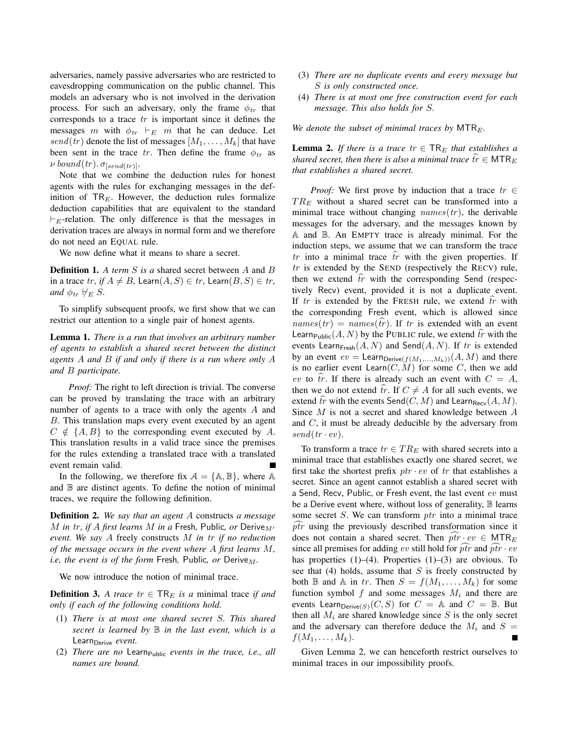adversaries, namely passive adversaries who are restricted to eavesdropping communication on the public channel. This models an adversary who is not involved in the derivation process. For such an adversary, only the frame  $\phi_{tr}$  that corresponds to a trace tr is important since it defines the messages m with  $\phi_{tr} \vdash_E m$  that he can deduce. Let  $send(tr)$  denote the list of messages  $[M_1, \ldots, M_k]$  that have been sent in the trace tr. Then define the frame  $\phi_{tr}$  as  $\nu$  bound(tr).  $\sigma_{[send(tr)]}$ .

Note that we combine the deduction rules for honest agents with the rules for exchanging messages in the definition of  $TR_E$ . However, the deduction rules formalize deduction capabilities that are equivalent to the standard  $\models$ <sub>E</sub>-relation. The only difference is that the messages in derivation traces are always in normal form and we therefore do not need an EQUAL rule.

We now define what it means to share a secret.

Definition 1. *A term* S *is a* shared secret between A and B in a trace  $tr$ , if  $A \neq B$ , Learn $(A, S) \in tr$ , Learn $(B, S) \in tr$ , *and*  $\phi_{tr}$   $\forall_E S$ .

To simplify subsequent proofs, we first show that we can restrict our attention to a single pair of honest agents.

Lemma 1. *There is a run that involves an arbitrary number of agents to establish a shared secret between the distinct agents* A *and* B *if and only if there is a run where only* A *and* B *participate.*

*Proof:* The right to left direction is trivial. The converse can be proved by translating the trace with an arbitrary number of agents to a trace with only the agents A and B. This translation maps every event executed by an agent  $C \notin \{A, B\}$  to the corresponding event executed by A. This translation results in a valid trace since the premises for the rules extending a translated trace with a translated event remain valid.

In the following, we therefore fix  $A = \{A, B\}$ , where A and  $\mathbb B$  are distinct agents. To define the notion of minimal traces, we require the following definition.

Definition 2. *We say that an agent* A constructs *a message* M in tr, if A first learns M in a Fresh, Public, or Derive<sub>M'</sub> *event. We say* A freely constructs M *in* tr *if no reduction of the message occurs in the event where* A *first learns* M*, i.e, the event is of the form* Fresh, Public, or Derive $_M$ .

We now introduce the notion of minimal trace.

**Definition 3.** A trace  $tr \in \text{TR}_E$  is a minimal trace if and *only if each of the following conditions hold.*

- (1) *There is at most one shared secret* S*. This shared secret is learned by* B *in the last event, which is a* Learn<sub>Derive</sub> event.
- (2) *There are no* Learn<sub>Public</sub> events in the trace, i.e., all *names are bound.*
- (3) *There are no duplicate events and every message but* S *is only constructed once.*
- (4) *There is at most one free construction event for each message. This also holds for* S*.*

*We denote the subset of minimal traces by* MTR<sub>E</sub>.

**Lemma 2.** *If there is a trace*  $tr \in \text{TR}_E$  *that establishes a shared secret, then there is also a minimal trace*  $\hat{tr} \in MTR_E$ *that establishes a shared secret.*

*Proof:* We first prove by induction that a trace  $tr \in$  $TR_E$  without a shared secret can be transformed into a minimal trace without changing  $names(tr)$ , the derivable messages for the adversary, and the messages known by A and B. An EMPTY trace is already minimal. For the induction steps, we assume that we can transform the trace  $tr$  into a minimal trace  $tr$  with the given properties. If  $tr$  is extended by the SEND (respectively the RECV) rule, then we extend  $tr$  with the corresponding Send (respectively Recv) event, provided it is not a duplicate event. If  $tr$  is extended by the FRESH rule, we extend  $tr$  with the corresponding Fresh event, which is allowed since  $names(tr) = names(\hat{tr})$ . If tr is extended with an event Learn<sub>Public</sub> $(A, N)$  by the PUBLIC rule, we extend  $\hat{tr}$  with the events Learn<sub>Fresh</sub> $(A, N)$  and Send $(A, N)$ . If tr is extended by an event  $ev = \text{Learn}_{\text{Derive}(f(M_1,...,M_k))}(A, M)$  and there is no earlier event Learn $(C, M)$  for some C, then we add ev to tr. If there is already such an event with  $C = A$ , then we do not extend tr. If  $C \neq A$  for all such events, we extend tr with the events Send(C, M) and Learn<sub>Recv</sub>(A, M). Since M is not a secret and shared knowledge between A and C, it must be already deducible by the adversary from  $send(tr \cdot ev).$ 

To transform a trace  $tr \in TR_E$  with shared secrets into a minimal trace that establishes exactly one shared secret, we first take the shortest prefix  $ptr \cdot ev$  of  $tr$  that establishes a secret. Since an agent cannot establish a shared secret with a Send, Recv, Public, or Fresh event, the last event ev must be a Derive event where, without loss of generality,  $\mathbb B$  learns some secret  $S$ . We can transform  $ptr$  into a minimal trace  $\hat{p}t\hat{r}$  using the previously described transformation since it does not contain a shared secret. Then  $\widehat{ptr} \cdot ev \in MTR_E$ since all premises for adding ev still hold for ptr and ptr  $ev$ has properties  $(1)$ – $(4)$ . Properties  $(1)$ – $(3)$  are obvious. To see that  $(4)$  holds, assume that S is freely constructed by both  $\mathbb B$  and  $\mathbb A$  in tr. Then  $S = f(M_1, \ldots, M_k)$  for some function symbol f and some messages  $M_i$  and there are events Learn  $Derive(S)(C, S)$  for  $C = \mathbb{A}$  and  $C = \mathbb{B}$ . But then all  $M_i$  are shared knowledge since  $S$  is the only secret and the adversary can therefore deduce the  $M_i$  and  $S =$  $f(M_1,\ldots,M_k).$ 

Given Lemma 2, we can henceforth restrict ourselves to minimal traces in our impossibility proofs.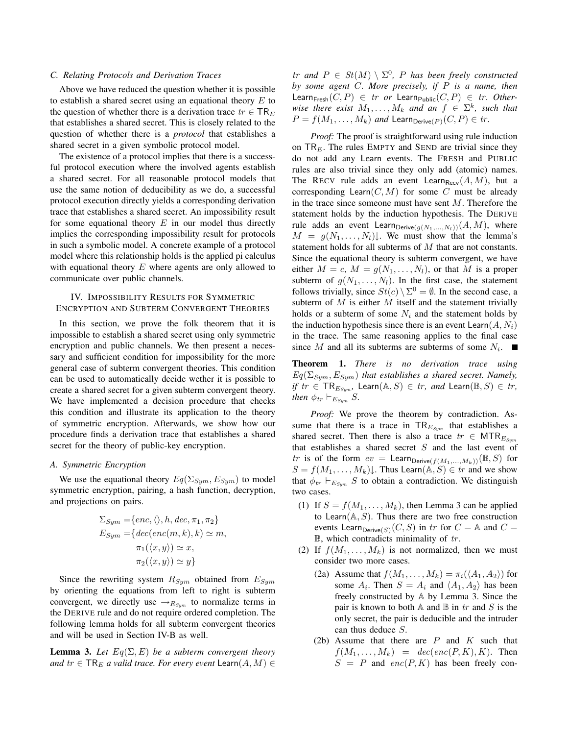#### *C. Relating Protocols and Derivation Traces*

Above we have reduced the question whether it is possible to establish a shared secret using an equational theory  $E$  to the question of whether there is a derivation trace  $tr \in \text{TR}_E$ that establishes a shared secret. This is closely related to the question of whether there is a *protocol* that establishes a shared secret in a given symbolic protocol model.

The existence of a protocol implies that there is a successful protocol execution where the involved agents establish a shared secret. For all reasonable protocol models that use the same notion of deducibility as we do, a successful protocol execution directly yields a corresponding derivation trace that establishes a shared secret. An impossibility result for some equational theory  $E$  in our model thus directly implies the corresponding impossibility result for protocols in such a symbolic model. A concrete example of a protocol model where this relationship holds is the applied pi calculus with equational theory  $E$  where agents are only allowed to communicate over public channels.

## IV. IMPOSSIBILITY RESULTS FOR SYMMETRIC ENCRYPTION AND SUBTERM CONVERGENT THEORIES

In this section, we prove the folk theorem that it is impossible to establish a shared secret using only symmetric encryption and public channels. We then present a necessary and sufficient condition for impossibility for the more general case of subterm convergent theories. This condition can be used to automatically decide wether it is possible to create a shared secret for a given subterm convergent theory. We have implemented a decision procedure that checks this condition and illustrate its application to the theory of symmetric encryption. Afterwards, we show how our procedure finds a derivation trace that establishes a shared secret for the theory of public-key encryption.

#### *A. Symmetric Encryption*

We use the equational theory  $Eq(\Sigma_{Sym}, E_{Sym})$  to model symmetric encryption, pairing, a hash function, decryption, and projections on pairs.

$$
\Sigma_{Sym} = \{enc, \langle \rangle, h, dec, \pi_1, \pi_2\}
$$
  
\n
$$
E_{Sym} = \{dec(enc(m, k), k) \simeq m, \pi_1(\langle x, y \rangle) \simeq x, \pi_2(\langle x, y \rangle) \simeq y\}
$$

Since the rewriting system  $R_{Sym}$  obtained from  $E_{Sym}$ by orienting the equations from left to right is subterm convergent, we directly use  $\rightarrow_{R_{Sym}}$  to normalize terms in the DERIVE rule and do not require ordered completion. The following lemma holds for all subterm convergent theories and will be used in Section IV-B as well.

**Lemma 3.** Let  $Eq(\Sigma, E)$  be a subterm convergent theory *and*  $tr$  ∈ TR<sub>E</sub> *a* valid trace. For every event Learn $(A, M)$  ∈

 $tr$  and  $P \in St(M) \setminus \Sigma^0$ , P has been freely constructed *by some agent* C*. More precisely, if* P *is a name, then* Learn<sub>Fresh</sub> $(C, P) \in tr$  *or* Learn<sub>Public</sub> $(C, P) \in tr$ . Otherwise there exist  $M_1, \ldots, M_k$  and an  $f \in \Sigma^k$ , such that  $P = f(M_1, \ldots, M_k)$  *and* Learn<sub>Derive</sub> $(P)$  $(C, P) \in tr$ *.* 

*Proof:* The proof is straightforward using rule induction on  $TR_E$ . The rules EMPTY and SEND are trivial since they do not add any Learn events. The FRESH and PUBLIC rules are also trivial since they only add (atomic) names. The RECV rule adds an event Learn<sub>Recv</sub> $(A, M)$ , but a corresponding Learn $(C, M)$  for some C must be already in the trace since someone must have sent  $M$ . Therefore the statement holds by the induction hypothesis. The DERIVE rule adds an event Learn<sub>Derive</sub> $(g(N_1,...,N_l))(A, M)$ , where  $M = g(N_1, \ldots, N_l) \downarrow$ . We must show that the lemma's statement holds for all subterms of M that are not constants. Since the equational theory is subterm convergent, we have either  $M = c$ ,  $M = g(N_1, \ldots, N_l)$ , or that M is a proper subterm of  $g(N_1, \ldots, N_l)$ . In the first case, the statement follows trivially, since  $St(c) \setminus \Sigma^0 = \emptyset$ . In the second case, a subterm of  $M$  is either  $M$  itself and the statement trivially holds or a subterm of some  $N_i$  and the statement holds by the induction hypothesis since there is an event Learn $(A, N_i)$ in the trace. The same reasoning applies to the final case since M and all its subterms are subterms of some  $N_i$ .

Theorem 1. *There is no derivation trace using*  $Eq(\Sigma_{Sym}, E_{Sym})$  *that establishes a shared secret. Namely, if*  $tr$  ∈  $TR_{E_{Sym}}$ , Learn( $\mathbb{A}, S$ ) ∈  $tr$ , and Learn( $\mathbb{B}, S$ ) ∈  $tr$ , *then*  $\phi_{tr} \vdash_{E_{Sym}} S$ .

*Proof:* We prove the theorem by contradiction. Assume that there is a trace in  $TR_{E_{Sym}}$  that establishes a shared secret. Then there is also a trace  $tr \in MTR_{E_{Sym}}$ that establishes a shared secret  $S$  and the last event of tr is of the form  $ev = \text{Learn}_{\text{Derive}(f(M_1,...,M_k))}(\mathbb{B}, S)$  for  $S = f(M_1, \ldots, M_k) \downarrow$ . Thus Learn( $\mathbb{A}, S$ )  $\in \mathit{tr}$  and we show that  $\phi_{tr} \vdash_{E_{Sum}} S$  to obtain a contradiction. We distinguish two cases.

- (1) If  $S = f(M_1, \ldots, M_k)$ , then Lemma 3 can be applied to Learn $(A, S)$ . Thus there are two free construction events Learn  $D_{\text{erive}(S)}(C, S)$  in tr for  $C = \mathbb{A}$  and  $C =$  $\mathbb{B}$ , which contradicts minimality of tr.
- (2) If  $f(M_1, \ldots, M_k)$  is not normalized, then we must consider two more cases.
	- (2a) Assume that  $f(M_1, \ldots, M_k) = \pi_i(\langle A_1, A_2 \rangle)$  for some  $A_i$ . Then  $S = A_i$  and  $\langle A_1, A_2 \rangle$  has been freely constructed by A by Lemma 3. Since the pair is known to both A and  $\mathbb B$  in tr and S is the only secret, the pair is deducible and the intruder can thus deduce S.
	- (2b) Assume that there are  $P$  and  $K$  such that  $f(M_1, \ldots, M_k) = dec(enc(P, K), K)$ . Then  $S = P$  and  $enc(P, K)$  has been freely con-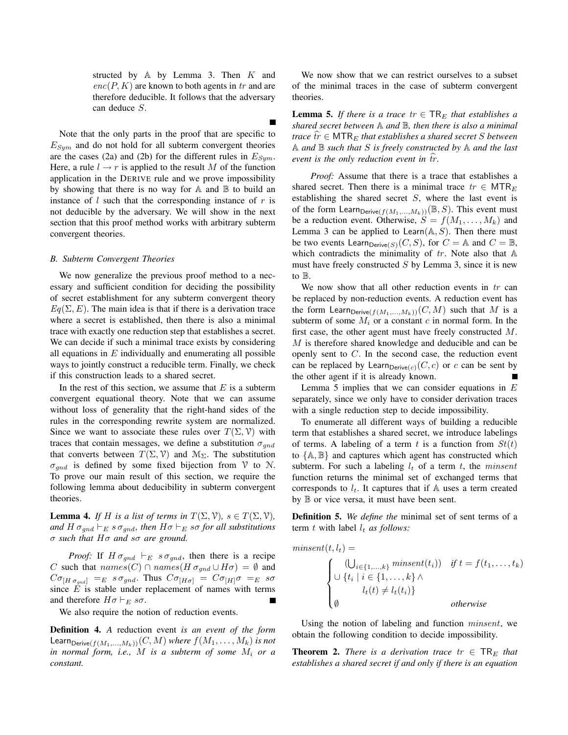structed by  $A$  by Lemma 3. Then  $K$  and  $enc(P, K)$  are known to both agents in tr and are therefore deducible. It follows that the adversary can deduce S.

Note that the only parts in the proof that are specific to  $E_{Sym}$  and do not hold for all subterm convergent theories are the cases (2a) and (2b) for the different rules in  $E_{Sum}$ . Here, a rule  $l \rightarrow r$  is applied to the result M of the function application in the DERIVE rule and we prove impossibility by showing that there is no way for  $A$  and  $B$  to build an instance of  $l$  such that the corresponding instance of  $r$  is not deducible by the adversary. We will show in the next section that this proof method works with arbitrary subterm convergent theories.

## *B. Subterm Convergent Theories*

We now generalize the previous proof method to a necessary and sufficient condition for deciding the possibility of secret establishment for any subterm convergent theory  $Eq(\Sigma, E)$ . The main idea is that if there is a derivation trace where a secret is established, then there is also a minimal trace with exactly one reduction step that establishes a secret. We can decide if such a minimal trace exists by considering all equations in  $E$  individually and enumerating all possible ways to jointly construct a reducible term. Finally, we check if this construction leads to a shared secret.

In the rest of this section, we assume that  $E$  is a subterm convergent equational theory. Note that we can assume without loss of generality that the right-hand sides of the rules in the corresponding rewrite system are normalized. Since we want to associate these rules over  $T(\Sigma, \mathcal{V})$  with traces that contain messages, we define a substitution  $\sigma_{and}$ that converts between  $T(\Sigma, \mathcal{V})$  and  $\mathcal{M}_{\Sigma}$ . The substitution  $\sigma_{gnd}$  is defined by some fixed bijection from  $\mathcal V$  to  $\mathcal N$ . To prove our main result of this section, we require the following lemma about deducibility in subterm convergent theories.

**Lemma 4.** *If* H *is a list of terms in*  $T(\Sigma, \mathcal{V})$ *,*  $s \in T(\Sigma, \mathcal{V})$ *, and*  $H \sigma_{gnd} \vdash_E s \sigma_{gnd}$ *, then*  $H \sigma \vdash_E s \sigma$  *for all substitutions* σ *such that* Hσ *and* sσ *are ground.*

*Proof:* If  $H \sigma_{qnd} \vdash_E s \sigma_{qnd}$ , then there is a recipe C such that  $names(C) \cap names(H \sigma_{and} \cup H \sigma) = \emptyset$  and  $C\sigma_{[H\sigma_{gnd}]} =_E s\sigma_{gnd}$ . Thus  $C\sigma_{[H\sigma]} = C\sigma_{[H]}\sigma =_E s\sigma$ since  $E$  is stable under replacement of names with terms and therefore  $H\sigma \vdash_E s\sigma$ .

We also require the notion of reduction events.

Definition 4. *A* reduction event *is an event of the form* Learn<sub>Derive</sub> $(f(M_1,...,M_k))(C, M)$  *where*  $f(M_1,...,M_k)$  *is not in normal form, i.e.,*  $M$  *is a subterm of some*  $M_i$  *or a constant.*

We now show that we can restrict ourselves to a subset of the minimal traces in the case of subterm convergent theories.

**Lemma 5.** If there is a trace  $tr \in \text{TR}_E$  that establishes a *shared secret between* A *and* B*, then there is also a minimal trace*  $\hat{tr} \in MTR_E$  *that establishes a shared secret* S *between* A *and* B *such that* S *is freely constructed by* A *and the last event is the only reduction event in*  $\hat{tr}$ *.* 

*Proof:* Assume that there is a trace that establishes a shared secret. Then there is a minimal trace  $tr \in MTR_E$ establishing the shared secret S, where the last event is of the form Learn<sub>Derive</sub> $(f(M_1,...,M_k))(\mathbb{B}, S)$ . This event must be a reduction event. Otherwise,  $S = f(M_1, \ldots, M_k)$  and Lemma 3 can be applied to Learn $(A, S)$ . Then there must be two events Learn $_{Derive(S)}(C, S)$ , for  $C = \mathbb{A}$  and  $C = \mathbb{B}$ , which contradicts the minimality of  $tr$ . Note also that  $A$ must have freely constructed  $S$  by Lemma 3, since it is new to B.

We now show that all other reduction events in tr can be replaced by non-reduction events. A reduction event has the form Learn  $Derive(f(M_1,...,M_k))(C, M)$  such that M is a subterm of some  $M_i$  or a constant c in normal form. In the first case, the other agent must have freely constructed M. M is therefore shared knowledge and deducible and can be openly sent to C. In the second case, the reduction event can be replaced by Learn $_{Derive(c)}(C, c)$  or c can be sent by the other agent if it is already known.

Lemma 5 implies that we can consider equations in  $E$ separately, since we only have to consider derivation traces with a single reduction step to decide impossibility.

To enumerate all different ways of building a reducible term that establishes a shared secret, we introduce labelings of terms. A labeling of a term t is a function from  $St(t)$ to  $\{A, B\}$  and captures which agent has constructed which subterm. For such a labeling  $l_t$  of a term t, the *minsent* function returns the minimal set of exchanged terms that corresponds to  $l_t$ . It captures that if A uses a term created by B or vice versa, it must have been sent.

Definition 5. *We define the* minimal set of sent terms of a term  $t$  with label  $l_t$  *as follows:* 

$$
\begin{aligned}\n\textit{minsent}(t, l_t) &= \\
&\quad \left\{\n\begin{array}{ll}\n(\bigcup_{i \in \{1, \ldots, k\}} \textit{minsent}(t_i)) & \textit{if } t = f(t_1, \ldots, t_k) \\
\bigcup \{t_i \mid i \in \{1, \ldots, k\} \land \\
l_t(t) & \neq l_t(t_i)\}\n\end{array}\n\right\} \\
\textit{otherwise}\n\end{aligned}
$$

Using the notion of labeling and function minsent, we obtain the following condition to decide impossibility.

**Theorem 2.** *There is a derivation trace*  $tr \in \text{TR}_E$  *that establishes a shared secret if and only if there is an equation*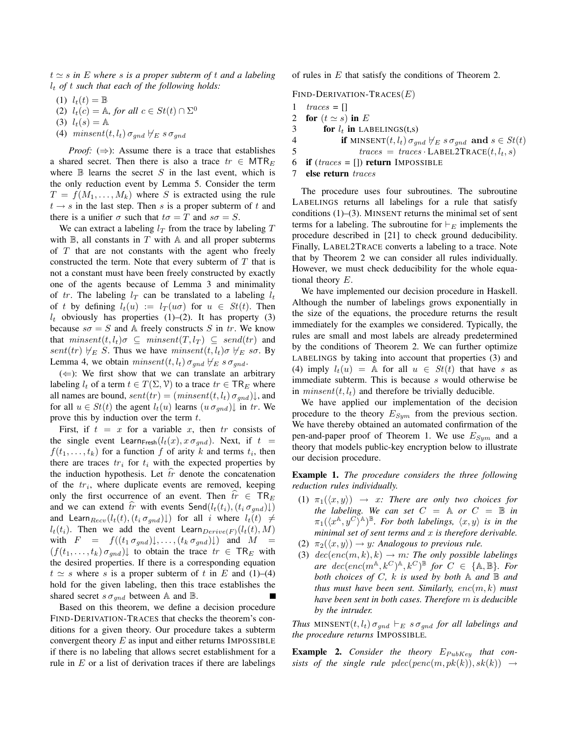$t \simeq s$  *in* E where *s is a proper subterm of t and a labeling* l<sup>t</sup> *of* t *such that each of the following holds:*

- (1)  $l_t(t) = \mathbb{B}$
- (2)  $l_t(c) = \mathbb{A}$ , for all  $c \in St(t) \cap \Sigma^0$
- (3)  $l_t(s) = \mathbb{A}$
- (4) minsent(t, l<sub>t</sub>)  $\sigma_{and} \nvDash_{E} s \sigma_{and}$

*Proof:*  $(\Rightarrow)$ : Assume there is a trace that establishes a shared secret. Then there is also a trace  $tr \in MTR_E$ where  $\mathbb B$  learns the secret  $S$  in the last event, which is the only reduction event by Lemma 5. Consider the term  $T = f(M_1, \ldots, M_k)$  where S is extracted using the rule  $t \rightarrow s$  in the last step. Then s is a proper subterm of t and there is a unifier  $\sigma$  such that  $t\sigma = T$  and  $s\sigma = S$ .

We can extract a labeling  $l_T$  from the trace by labeling  $T$ with  $\mathbb{B}$ , all constants in T with  $\mathbb{A}$  and all proper subterms of  $T$  that are not constants with the agent who freely constructed the term. Note that every subterm of  $T$  that is not a constant must have been freely constructed by exactly one of the agents because of Lemma 3 and minimality of tr. The labeling  $l_T$  can be translated to a labeling  $l_t$ of t by defining  $l_t(u) := l_T(u\sigma)$  for  $u \in St(t)$ . Then  $l_t$  obviously has properties (1)–(2). It has property (3) because  $s\sigma = S$  and A freely constructs S in tr. We know that  $minsent(t, l_t)\sigma \subseteq minsent(T, l_T) \subseteq send(tr)$  and sent(tr)  $\forall_E S$ . Thus we have minsent(t, l<sub>t</sub>) $\sigma \not\vdash_E s\sigma$ . By Lemma 4, we obtain  $minsent(t, l_t) \sigma_{qnd} \nvdash_{E} s \sigma_{qnd}$ .

 $(\Leftarrow)$ : We first show that we can translate an arbitrary labeling  $l_t$  of a term  $t \in T(\Sigma, \mathcal{V})$  to a trace  $tr \in \mathsf{T} \mathsf{R}_E$  where all names are bound,  $sent(tr) = (minsent(t, l_t) \sigma_{gnd})\downarrow$ , and for all  $u \in St(t)$  the agent  $l_t(u)$  learns  $(u \sigma_{gnd})\downarrow$  in tr. We prove this by induction over the term  $t$ .

First, if  $t = x$  for a variable x, then tr consists of the single event LearnFresh $(l_t(x), x \sigma_{gnd})$ . Next, if  $t =$  $f(t_1, \ldots, t_k)$  for a function f of arity k and terms  $t_i$ , then there are traces  $tr_i$  for  $t_i$  with the expected properties by the induction hypothesis. Let  $\hat{tr}$  denote the concatenation of the  $tr_i$ , where duplicate events are removed, keeping only the first occurrence of an event. Then  $tr \in \text{TR}_E$ and we can extend  $\hat{tr}$  with events Send $(l_t(t_i), (t_i \sigma_{qnd}) \downarrow)$ and Learn $_{Recv}(l_t(t), (t_i \sigma_{qnd})\downarrow)$  for all i where  $l_t(t) \neq$  $l_t(t_i)$ . Then we add the event Learn $_{Derive(F)}(l_t(t), M)$ with  $F = f((t_1 \sigma_{gnd})\downarrow, \ldots, (t_k \sigma_{gnd})\downarrow)$  and  $M =$  $(f(t_1, \ldots, t_k) \sigma_{qnd})\downarrow$  to obtain the trace  $tr \in \text{TR}_E$  with the desired properties. If there is a corresponding equation  $t \simeq s$  where s is a proper subterm of t in E and (1)–(4) hold for the given labeling, then this trace establishes the shared secret  $s \sigma_{qnd}$  between A and B.

Based on this theorem, we define a decision procedure FIND-DERIVATION-TRACES that checks the theorem's conditions for a given theory. Our procedure takes a subterm convergent theory  $E$  as input and either returns IMPOSSIBLE if there is no labeling that allows secret establishment for a rule in  $E$  or a list of derivation traces if there are labelings of rules in  $E$  that satisfy the conditions of Theorem 2.

 $FIND-DERIVATION-TRACES(E)$ 

- 1  $traces = []$
- 2 for  $(t \simeq s)$  in E
- 3 for  $l_t$  in LABELINGS(t,s)
- 4 if MINSENT $(t, l_t) \sigma_{qnd} \not\vdash_E s \sigma_{qnd}$  and  $s \in St(t)$
- 5  $traces = traces \cdot \text{LABEL2Trace}(t, l_t, s)$

6 if  $(traces = []$  return IMPOSSIBLE

7 else return traces

The procedure uses four subroutines. The subroutine LABELINGS returns all labelings for a rule that satisfy conditions (1)–(3). MINSENT returns the minimal set of sent terms for a labeling. The subroutine for  $\vdash_E$  implements the procedure described in [21] to check ground deducibility. Finally, LABEL2TRACE converts a labeling to a trace. Note that by Theorem 2 we can consider all rules individually. However, we must check deducibility for the whole equational theory  $E$ .

We have implemented our decision procedure in Haskell. Although the number of labelings grows exponentially in the size of the equations, the procedure returns the result immediately for the examples we considered. Typically, the rules are small and most labels are already predetermined by the conditions of Theorem 2. We can further optimize LABELINGS by taking into account that properties (3) and (4) imply  $l_t(u) = A$  for all  $u \in St(t)$  that have s as immediate subterm. This is because s would otherwise be in  $minsent(t, l_t)$  and therefore be trivially deducible.

We have applied our implementation of the decision procedure to the theory  $E_{Sym}$  from the previous section. We have thereby obtained an automated confirmation of the pen-and-paper proof of Theorem 1. We use  $E_{Sum}$  and a theory that models public-key encryption below to illustrate our decision procedure.

Example 1. *The procedure considers the three following reduction rules individually.*

- (1)  $\pi_1(\langle x, y \rangle) \rightarrow x$ *: There are only two choices for the labeling. We can set*  $C = A$  *or*  $C = B$  *in*  $\pi_1(\langle x^\mathbb{A}, y^C \rangle^\mathbb{A})^\mathbb{B}$ *. For both labelings,*  $\langle x, y \rangle$  *is in the minimal set of sent terms and* x *is therefore derivable.*
- (2)  $\pi_2(\langle x, y \rangle) \rightarrow y$ *: Analogous to previous rule.*
- (3)  $dec(enc(m, k), k) \rightarrow m$ : The only possible labelings  $are \, \overline{\,} \, dec (enc(m^{\mathbb{A}}, k^C)^{\mathbb{A}}, k^C)^{\mathbb{B}}$  for  $C \in \{\mathbb{A}, \mathbb{B}\}.$  For *both choices of* C*,* k *is used by both* A *and* B *and thus must have been sent. Similarly, enc* $(m, k)$  *must have been sent in both cases. Therefore* m *is deducible by the intruder.*

*Thus* MINSENT $(t, l_t) \sigma_{gnd} \vdash_E s \sigma_{gnd}$  *for all labelings and the procedure returns* IMPOSSIBLE*.*

**Example 2.** Consider the theory  $E_{PubKey}$  that con*sists of the single rule pdec(penc(m, pk(k)), sk(k))*  $\rightarrow$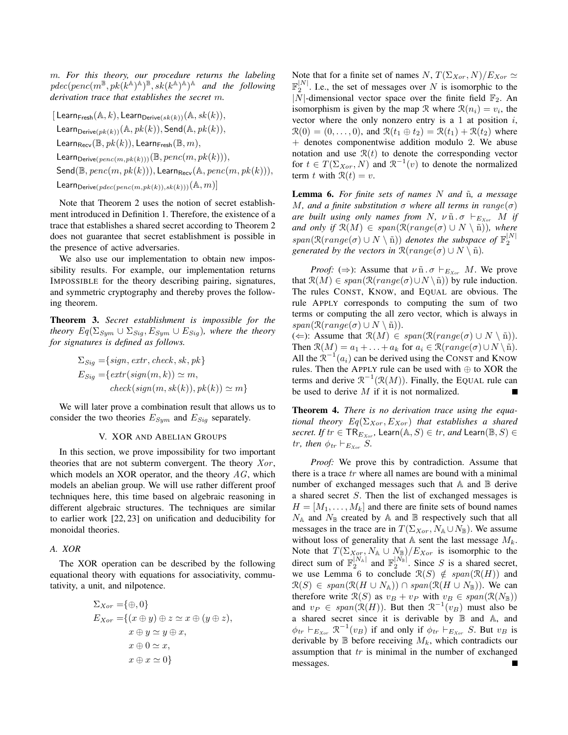m*. For this theory, our procedure returns the labeling*  $pdec(penc(m^{\mathbb{B}}, pk(k^{\mathbb{A}})^{\mathbb{A}})^{\mathbb{B}}, sk(k^{\mathbb{A}})^{\mathbb{A}})^{\mathbb{A}}$  and the following *derivation trace that establishes the secret* m*.*

[Learn<sub>Fresh</sub> $(A, k)$ , Learn<sub>Derive</sub> $(s_k(k))$  $(A, sk(k)),$ Learn $_{Derive(pk(k))}(\mathbb{A}, pk(k))$ , Send $(\mathbb{A}, pk(k))$ , Learn $_{\text{Recv}}(\mathbb{B}, pk(k))$ , Learn $_{\text{Fresh}}(\mathbb{B}, m)$ , Learn $Derive(penc(m,pk(k)))(\mathbb{B}, penc(m,pk(k))),$ Send( $\mathbb{B},$   $penc(m, pk(k))$ ), Learn $_{\text{Recv}}(\mathbb{A},$   $penc(m, pk(k)))$ , Learn Derive( $_{pdec(\,penc(m,pk(k)),sk(k)))}(\mathbb{A}, m)$ ]

Note that Theorem 2 uses the notion of secret establishment introduced in Definition 1. Therefore, the existence of a trace that establishes a shared secret according to Theorem 2 does not guarantee that secret establishment is possible in the presence of active adversaries.

We also use our implementation to obtain new impossibility results. For example, our implementation returns IMPOSSIBLE for the theory describing pairing, signatures, and symmetric cryptography and thereby proves the following theorem.

Theorem 3. *Secret establishment is impossible for the theory*  $Eq(\Sigma_{Sym} \cup \Sigma_{Sig}, E_{Sym} \cup E_{Sig})$ *, where the theory for signatures is defined as follows.*

$$
\Sigma_{Sig} = \{ sign, extr, check, sk, pk\}
$$
  
\n
$$
E_{Sig} = \{ extr(sign(m, k)) \simeq m,
$$
  
\n
$$
check(sign(m, sk(k)), pk(k)) \simeq m\}
$$

We will later prove a combination result that allows us to consider the two theories  $E_{Sym}$  and  $E_{Sig}$  separately.

#### V. XOR AND ABELIAN GROUPS

In this section, we prove impossibility for two important theories that are not subterm convergent. The theory  $Xor$ , which models an XOR operator, and the theory  $AG$ , which models an abelian group. We will use rather different proof techniques here, this time based on algebraic reasoning in different algebraic structures. The techniques are similar to earlier work [22, 23] on unification and deducibility for monoidal theories.

## *A. XOR*

The XOR operation can be described by the following equational theory with equations for associativity, commutativity, a unit, and nilpotence.

$$
\Sigma_{Xor} = {\oplus, 0}
$$
  
\n
$$
E_{Xor} = {(x \oplus y) \oplus z \simeq x \oplus (y \oplus z),
$$
  
\n
$$
x \oplus y \simeq y \oplus x,
$$
  
\n
$$
x \oplus 0 \simeq x,
$$
  
\n
$$
x \oplus x \simeq 0
$$
}

Note that for a finite set of names N,  $T(\Sigma_{Xor}, N)/E_{Xor} \simeq$  $\mathbb{F}_2^{|N|}$ . I.e., the set of messages over N is isomorphic to the |N|-dimensional vector space over the finite field  $\mathbb{F}_2$ . An isomorphism is given by the map R where  $\mathcal{R}(n_i) = v_i$ , the vector where the only nonzero entry is a 1 at position  $i$ ,  $\mathcal{R}(0) = (0, \ldots, 0)$ , and  $\mathcal{R}(t_1 \oplus t_2) = \mathcal{R}(t_1) + \mathcal{R}(t_2)$  where + denotes componentwise addition modulo 2. We abuse notation and use  $\mathcal{R}(t)$  to denote the corresponding vector for  $t \in T(\Sigma_{Xor}, N)$  and  $\mathbb{R}^{-1}(v)$  to denote the normalized term t with  $\mathcal{R}(t) = v$ .

Lemma 6. *For finite sets of names* N *and* ˜n*, a message* M, and a finite substitution  $\sigma$  where all terms in range( $\sigma$ ) *are built using only names from* N,  $\nu \tilde{n} \cdot \sigma +_{E_{X_{\text{or}}}} M$  *if and only if*  $\mathcal{R}(M) \in span(\mathcal{R}(range(\sigma) \cup N \setminus \tilde{n}))$ *, where*  $span(\mathcal{R}(range(\sigma) \cup N \setminus \tilde{n}))$  *denotes the subspace of*  $\mathbb{F}_2^{[N]}$ *generated by the vectors in*  $\mathcal{R}(range(\sigma) \cup N \setminus \tilde{n})$ *.* 

*Proof:* ( $\Rightarrow$ ): Assume that  $\nu \tilde{n} \cdot \sigma \vdash_{E_{Xor}} M$ . We prove that  $\mathcal{R}(M) \in span(\mathcal{R}(range(\sigma) \cup N \setminus \tilde{n}))$  by rule induction. The rules CONST, KNOW, and EQUAL are obvious. The rule APPLY corresponds to computing the sum of two terms or computing the all zero vector, which is always in  $span(\mathcal{R}(range(\sigma) \cup N \setminus \tilde{n})).$ 

(⇐): Assume that  $\mathcal{R}(M) \in span(\mathcal{R}(range(\sigma) \cup N \setminus \tilde{n})).$ Then  $\mathcal{R}(M) = a_1 + \ldots + a_k$  for  $a_i \in \mathcal{R}(range(\sigma) \cup N \setminus \tilde{n}).$ All the  $\mathcal{R}^{-1}(a_i)$  can be derived using the CONST and KNOW rules. Then the APPLY rule can be used with ⊕ to XOR the terms and derive  $\mathcal{R}^{-1}(\mathcal{R}(M))$ . Finally, the EQUAL rule can be used to derive  $M$  if it is not normalized.

Theorem 4. *There is no derivation trace using the equational theory*  $Eq(\Sigma_{Xor}, E_{Xor})$  *that establishes a shared secret. If*  $tr \in \mathsf{TR}_{E_{Xor}}$ , Learn $(\mathbb{A}, S) \in tr$ , and Learn $(\mathbb{B}, S) \in$ tr, then  $\phi_{tr} \vdash_{E_{Xor}} S$ .

*Proof:* We prove this by contradiction. Assume that there is a trace  $tr$  where all names are bound with a minimal number of exchanged messages such that  $A$  and  $B$  derive a shared secret S. Then the list of exchanged messages is  $H = [M_1, \ldots, M_k]$  and there are finite sets of bound names  $N_A$  and  $N_B$  created by A and B respectively such that all messages in the trace are in  $T(\Sigma_{Xor}, N_A \cup N_B)$ . We assume without loss of generality that  $A$  sent the last message  $M_k$ . Note that  $T(\Sigma_{Xor}, N_A \cup N_B)/E_{Xor}$  is isomorphic to the direct sum of  $\mathbb{F}_2^{|N_{\mathbb{B}}|}$  and  $\mathbb{F}_2^{|N_{\mathbb{B}}|}$ . Since S is a shared secret, we use Lemma 6 to conclude  $\mathcal{R}(S) \notin span(\mathcal{R}(H))$  and  $\mathcal{R}(S) \in span(\mathcal{R}(H \cup N_A)) \cap span(\mathcal{R}(H \cup N_B)).$  We can therefore write  $\mathcal{R}(S)$  as  $v_B + v_P$  with  $v_B \in span(\mathcal{R}(N_{\mathbb{B}}))$ and  $v_P \in span(\mathcal{R}(H))$ . But then  $\mathcal{R}^{-1}(v_B)$  must also be a shared secret since it is derivable by B and A, and  $\phi_{tr} \vdash_{E_{Xor}} \mathcal{R}^{-1}(v_B)$  if and only if  $\phi_{tr} \vdash_{E_{Xor}} S$ . But  $v_B$  is derivable by  $\mathbb B$  before receiving  $M_k$ , which contradicts our assumption that tr is minimal in the number of exchanged messages.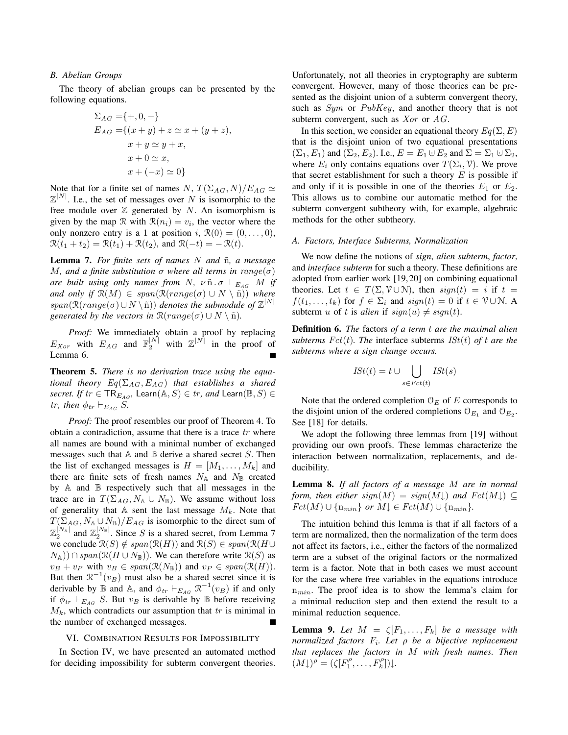## *B. Abelian Groups*

The theory of abelian groups can be presented by the following equations.

$$
\Sigma_{AG} = \{+,0,-\}
$$
  
\n
$$
E_{AG} = \{(x+y) + z \approx x + (y+z),
$$
  
\n
$$
x+y \approx y+x,
$$
  
\n
$$
x+0 \approx x,
$$
  
\n
$$
x+(-x) \approx 0\}
$$

Note that for a finite set of names N,  $T(\Sigma_{AG}, N)/E_{AG} \simeq$  $\mathbb{Z}^{|N|}$ . I.e., the set of messages over N is isomorphic to the free module over  $\mathbb Z$  generated by N. An isomorphism is given by the map R with  $\mathcal{R}(n_i) = v_i$ , the vector where the only nonzero entry is a 1 at position i,  $\mathcal{R}(0) = (0, \ldots, 0)$ ,  $\mathcal{R}(t_1 + t_2) = \mathcal{R}(t_1) + \mathcal{R}(t_2)$ , and  $\mathcal{R}(-t) = -\mathcal{R}(t)$ .

Lemma 7. *For finite sets of names* N *and* ˜n*, a message* M, and a finite substitution  $\sigma$  where all terms in range( $\sigma$ ) *are built using only names from* N,  $\nu \tilde{n} \cdot \sigma +_{E_{AC}} M$  *if and only if*  $\mathcal{R}(M) \in span(\mathcal{R}(range(\sigma) \cup N \setminus \tilde{n}))$  *where*  $span(\mathcal{R}(range(\sigma) \cup N \setminus \tilde{n}))$  *denotes the submodule of*  $\mathbb{Z}^{|N|}$ *generated by the vectors in*  $\mathcal{R}(range(\sigma) \cup N \setminus \tilde{n})$ *.* 

*Proof:* We immediately obtain a proof by replacing  $E_{Xor}$  with  $E_{AG}$  and  $\mathbb{F}_2^{|N|}$  with  $\mathbb{Z}^{|N|}$  in the proof of Lemma 6.

Theorem 5. *There is no derivation trace using the equational theory*  $Eq(\Sigma_{AG}, E_{AG})$  *that establishes a shared secret. If*  $tr \in \mathsf{TR}_{E_{AG}}$ , Learn( $\mathbb{A}, S$ )  $\in tr$ , and Learn( $\mathbb{B}, S$ )  $\in$ tr, then  $\phi_{tr} \vdash_{E_{AC}} S$ .

*Proof:* The proof resembles our proof of Theorem 4. To obtain a contradiction, assume that there is a trace  $tr$  where all names are bound with a minimal number of exchanged messages such that  $A$  and  $B$  derive a shared secret S. Then the list of exchanged messages is  $H = [M_1, \ldots, M_k]$  and there are finite sets of fresh names  $N_A$  and  $N_B$  created by A and B respectively such that all messages in the trace are in  $T(\Sigma_{AG}, N_A \cup N_B)$ . We assume without loss of generality that  $A$  sent the last message  $M_k$ . Note that  $T(\Sigma_{AG}, N_A \cup N_B)/E_{AG}$  is isomorphic to the direct sum of  $\mathbb{Z}_2^{[N_{\mathbb{B}}]}$  and  $\mathbb{Z}_2^{[N_{\mathbb{B}}]}$ . Since S is a shared secret, from Lemma 7 we conclude  $\mathcal{R}(S) \notin span(\mathcal{R}(H))$  and  $\mathcal{R}(S) \in span(\mathcal{R}(H\cup$  $(N_A)) \cap span(\mathcal{R}(H \cup N_B))$ . We can therefore write  $\mathcal{R}(S)$  as  $v_B + v_P$  with  $v_B \in span(\mathcal{R}(N_{\mathbb{B}}))$  and  $v_P \in span(\mathcal{R}(H)).$ But then  $\mathcal{R}^{-1}(v)$  must also be a shared secret since it is derivable by  $\mathbb B$  and  $\mathbb A$ , and  $\phi_{tr} \vdash_{E_{AG}} \mathcal{R}^{-1}(v_B)$  if and only if  $\phi_{tr} \vdash_{E_{AG}} S$ . But  $v_B$  is derivable by B before receiving  $M_k$ , which contradicts our assumption that  $tr$  is minimal in the number of exchanged messages.

## VI. COMBINATION RESULTS FOR IMPOSSIBILITY

In Section IV, we have presented an automated method for deciding impossibility for subterm convergent theories.

Unfortunately, not all theories in cryptography are subterm convergent. However, many of those theories can be presented as the disjoint union of a subterm convergent theory, such as *Sym* or *PubKey*, and another theory that is not subterm convergent, such as  $Xor$  or  $AG$ .

In this section, we consider an equational theory  $Eq(\Sigma, E)$ that is the disjoint union of two equational presentations  $(\Sigma_1, E_1)$  and  $(\Sigma_2, E_2)$ . I.e.,  $E = E_1 \cup E_2$  and  $\Sigma = \Sigma_1 \cup \Sigma_2$ , where  $E_i$  only contains equations over  $T(\Sigma_i, \mathcal{V})$ . We prove that secret establishment for such a theory  $E$  is possible if and only if it is possible in one of the theories  $E_1$  or  $E_2$ . This allows us to combine our automatic method for the subterm convergent subtheory with, for example, algebraic methods for the other subtheory.

## *A. Factors, Interface Subterms, Normalization*

We now define the notions of *sign*, *alien subterm*, *factor*, and *interface subterm* for such a theory. These definitions are adopted from earlier work [19, 20] on combining equational theories. Let  $t \in T(\Sigma, \mathcal{V} \cup \mathcal{N})$ , then  $sign(t) = i$  if  $t =$  $f(t_1,\ldots,t_k)$  for  $f \in \Sigma_i$  and  $sign(t) = 0$  if  $t \in \mathcal{V} \cup \mathcal{N}$ . A subterm u of t is alien if  $sign(u) \neq sign(t)$ .

Definition 6. *The* factors *of a term* t *are the maximal alien subterms*  $Fct(t)$ *. The* interface subterms  $ISt(t)$  *of* t are the *subterms where a sign change occurs.*

$$
ISt(t) = t \cup \bigcup_{s \in Fct(t)} ISt(s)
$$

Note that the ordered completion  $\mathcal{O}_E$  of E corresponds to the disjoint union of the ordered completions  $\mathcal{O}_{E_1}$  and  $\mathcal{O}_{E_2}$ . See [18] for details.

We adopt the following three lemmas from [19] without providing our own proofs. These lemmas characterize the interaction between normalization, replacements, and deducibility.

Lemma 8. *If all factors of a message* M *are in normal form, then either sign* $(M) = sign(M)$  *and*  $Fct(M) \subseteq$  $Fct(M) \cup \{n_{min}\}\$  *or*  $M \in Fct(M) \cup \{n_{min}\}\$ .

The intuition behind this lemma is that if all factors of a term are normalized, then the normalization of the term does not affect its factors, i.e., either the factors of the normalized term are a subset of the original factors or the normalized term is a factor. Note that in both cases we must account for the case where free variables in the equations introduce  $n_{min}$ . The proof idea is to show the lemma's claim for a minimal reduction step and then extend the result to a minimal reduction sequence.

**Lemma 9.** Let  $M = \zeta[F_1, \ldots, F_k]$  be a message with *normalized factors* F<sup>i</sup> *. Let* ρ *be a bijective replacement that replaces the factors in* M *with fresh names. Then*  $(M \downarrow)^\rho = (\zeta[F_1^\rho, \ldots, F_k^\rho]) \downarrow.$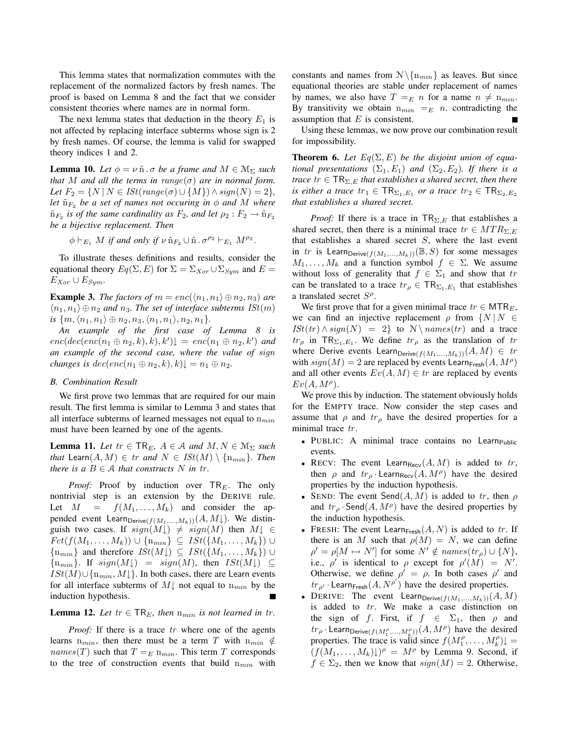This lemma states that normalization commutes with the replacement of the normalized factors by fresh names. The proof is based on Lemma 8 and the fact that we consider consistent theories where names are in normal form.

The next lemma states that deduction in the theory  $E_1$  is not affected by replacing interface subterms whose sign is 2 by fresh names. Of course, the lemma is valid for swapped theory indices 1 and 2.

**Lemma 10.** *Let*  $\phi = \nu \tilde{n} \cdot \sigma$  *be a frame and*  $M \in \mathcal{M}_{\Sigma}$  *such that* M and all the terms in range( $\sigma$ ) are in normal form. *Let*  $F_2 = \{ N \mid N \in \text{ISt}(\text{range}(\sigma) \cup \{ M \}) \land \text{sign}(N) = 2 \},$ *let*  $\tilde{n}_{F_2}$  *be a set of names not occuring in*  $\phi$  *and* M where  $\tilde{n}_{F_2}$  *is of the same cardinality as*  $F_2$ *, and let*  $\rho_2 : F_2 \to \tilde{n}_{F_2}$ *be a bijective replacement. Then*

$$
\phi \vdash_{E_1} M
$$
 if and only if  $\nu \tilde{n}_{F_2} \cup \tilde{n} \cdot \sigma^{\rho_2} \vdash_{E_1} M^{\rho_2}$ .

To illustrate theses definitions and results, consider the equational theory  $Eq(\Sigma, E)$  for  $\Sigma = \Sigma_{Xor} \cup \Sigma_{Sym}$  and  $E =$  $E_{Xor} \cup E_{Sym}.$ 

**Example 3.** *The factors of*  $m = enc(\langle n_1, n_1 \rangle \oplus n_2, n_3)$  *are*  $\langle n_1, n_1 \rangle \oplus n_2$  and  $n_3$ . The set of interface subterms  $ISt(m)$ *is*  $\{m, \langle n_1, n_1 \rangle \oplus n_2, n_3, \langle n_1, n_1 \rangle, n_2, n_1\}.$ 

*An example of the first case of Lemma 8 is*  $enc(dec(enc(n_1 \oplus n_2, k), k), k')\downarrow = enc(n_1 \oplus n_2, k')$  and *an example of the second case, where the value of* sign *changes is*  $dec(enc(n_1 \oplus n_2, k), k) \downarrow = n_1 \oplus n_2$ .

#### *B. Combination Result*

We first prove two lemmas that are required for our main result. The first lemma is similar to Lemma 3 and states that all interface subterms of learned messages not equal to  $n_{min}$ must have been learned by one of the agents.

**Lemma 11.** *Let*  $tr$  ∈  $TR_E$ ,  $A$  ∈  $A$  *and*  $M, N \in \mathcal{M}_{\Sigma}$  *such that* Learn $(A, M) \in tr$  *and*  $N \in ISt(M) \setminus \{n_{min}\}\$ . *Then there is a*  $B \in \mathcal{A}$  *that constructs* N *in tr.* 

*Proof:* Proof by induction over  $TR_E$ . The only nontrivial step is an extension by the DERIVE rule. Let  $M = f(M_1, \ldots, M_k)$  and consider the appended event Learn $_{Derive(f(M_1,...,M_k))}(A, M\downarrow)$ . We distinguish two cases. If  $sign(M) \neq sign(M)$  then  $M \downarrow \in$  $Fct(f(M_1, \ldots, M_k)) \cup \{\mathbf{n}_{min}\} \subseteq \text{ISt}(\{M_1, \ldots, M_k\}) \cup$  $\{n_{min}\}\$  and therefore  $ISt(M\downarrow) \subseteq ISt(\lbrace M_1,\ldots,M_k\rbrace) \cup$  ${n_{min}}$ . If  $sign(M\downarrow) = sign(M)$ , then  $ISt(M\downarrow) \subseteq$  $ISt(M) \cup \{n_{min}, M\downarrow\}$ . In both cases, there are Learn events for all interface subterms of  $M\downarrow$  not equal to  $n_{min}$  by the induction hypothesis.

**Lemma 12.** Let  $tr \in \text{TR}_E$ , then  $n_{min}$  is not learned in tr.

*Proof:* If there is a trace tr where one of the agents learns  $n_{min}$ , then there must be a term T with  $n_{min} \notin$ names(T) such that  $T =_E n_{min}$ . This term T corresponds to the tree of construction events that build  $n_{min}$  with constants and names from  $N \setminus \{n_{min}\}\$ as leaves. But since equational theories are stable under replacement of names by names, we also have  $T =_E n$  for a name  $n \neq n_{min}$ . By transitivity we obtain  $n_{min} = E_n$  n. contradicting the assumption that  $E$  is consistent.

Using these lemmas, we now prove our combination result for impossibility.

**Theorem 6.** Let  $Eq(\Sigma, E)$  be the disjoint union of equa*tional presentations*  $(\Sigma_1, E_1)$  *and*  $(\Sigma_2, E_2)$ *. If there is a trace*  $tr \in TR_{\Sigma,E}$  *that establishes a shared secret, then there is either a trace*  $tr_1 \in \mathsf{T}\mathsf{R}_{\Sigma_1,E_1}$  *or a trace*  $tr_2 \in \mathsf{T}\mathsf{R}_{\Sigma_2,E_2}$ *that establishes a shared secret.*

*Proof:* If there is a trace in  $TR_{\Sigma,E}$  that establishes a shared secret, then there is a minimal trace  $tr \in MTR_{\Sigma,E}$ that establishes a shared secret  $S$ , where the last event in tr is Learn  $Derive(f(M_1,...,M_k))(\mathbb{B}, S)$  for some messages  $M_1, \ldots, M_k$  and a function symbol  $f \in \Sigma$ . We assume without loss of generality that  $f \in \Sigma_1$  and show that tr can be translated to a trace  $tr_{\rho} \in \text{TR}_{\Sigma_1,E_1}$  that establishes a translated secret  $S^{\rho}$ .

We first prove that for a given minimal trace  $tr \in MTR_E$ , we can find an injective replacement  $\rho$  from  $\{N | N \in$  $ISt(tr) \wedge sign(N) = 2$  to  $\mathcal{N} \setminus names(tr)$  and a trace  $tr_{\rho}$  in TR<sub> $\Sigma_1, E_1$ </sub>. We define  $tr_{\rho}$  as the translation of tr where Derive events Learn  $Derive(f(M_1,...,M_k))(A, M) \in tr$ with  $sign(M) = 2$  are replaced by events Learn<sub>Fresh</sub> $(A, M^{\rho})$ and all other events  $Ev(A, M) \in tr$  are replaced by events  $Ev(A, M^{\rho}).$ 

We prove this by induction. The statement obviously holds for the EMPTY trace. Now consider the step cases and assume that  $\rho$  and  $tr_{\rho}$  have the desired properties for a minimal trace tr.

- PUBLIC: A minimal trace contains no Learn  $P_{\text{tubic}}$ events.
- RECV: The event Learn<sub>Recv</sub> $(A, M)$  is added to tr, then  $\rho$  and  $tr_{\rho}$  Learn<sub>Recv</sub> $(A, M^{\rho})$  have the desired properties by the induction hypothesis.
- SEND: The event Send $(A, M)$  is added to tr, then  $\rho$ and  $tr_{\rho}$  Send $(A, M^{\rho})$  have the desired properties by the induction hypothesis.
- FRESH: The event Learn<sub>Fresh</sub> $(A, N)$  is added to tr. If there is an M such that  $\rho(M) = N$ , we can define  $\rho' = \rho[M \mapsto N']$  for some  $N' \notin names(tr_{\rho}) \cup \{N\},$ i.e.,  $\rho'$  is identical to  $\rho$  except for  $\rho'(M) = N'.$ Otherwise, we define  $\rho' = \rho$ . In both cases  $\rho'$  and  $tr_{\rho'}$  Learn<sub>Fresh</sub> $(A, N^{\rho'})$  have the desired properties.
- DERIVE: The event Learn  $Derive(f(M_1,...,M_k))(A, M)$ is added to  $tr$ . We make a case distinction on the sign of f. First, if  $f \in \Sigma_1$ , then  $\rho$  and  $tr_{\rho}$  Learn<sub>Derive</sub> $(f(M_1^{\rho},...,M_k^{\rho}))$  (A,  $M^{\rho}$ ) have the desired properties. The trace is valid since  $f(M_1^{\rho}, \ldots, M_k^{\rho}) \downarrow =$  $(f(M_1,\ldots,M_k)\downarrow)^\rho = M^\rho$  by Lemma 9. Second, if  $f \in \Sigma_2$ , then we know that  $sign(M) = 2$ . Otherwise,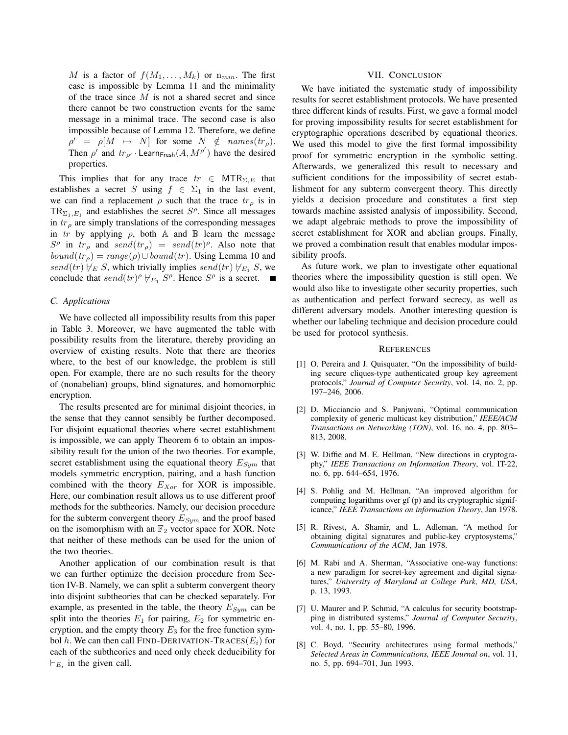M is a factor of  $f(M_1, \ldots, M_k)$  or  $n_{min}$ . The first case is impossible by Lemma 11 and the minimality of the trace since  $M$  is not a shared secret and since there cannot be two construction events for the same message in a minimal trace. The second case is also impossible because of Lemma 12. Therefore, we define  $\rho' = \rho[M \mapsto N]$  for some  $N \notin names(tr_{\rho}).$ Then  $\rho'$  and  $tr_{\rho'} \cdot$  Learn<sub>Fresh</sub> $(A, M^{\rho'})$  have the desired properties.

This implies that for any trace  $tr \in MTR_{\Sigma,E}$  that establishes a secret S using  $f \in \Sigma_1$  in the last event, we can find a replacement  $\rho$  such that the trace  $tr_{\rho}$  is in  $TR_{\Sigma_1,E_1}$  and establishes the secret  $S^{\rho}$ . Since all messages in  $tr_{\rho}$  are simply translations of the corresponding messages in tr by applying  $\rho$ , both A and B learn the message  $S^{\rho}$  in  $tr_{\rho}$  and  $send(tr_{\rho}) = send(tr)^{\rho}$ . Also note that  $bound(tr_{\rho}) = range(\rho) \cup bound(tr)$ . Using Lemma 10 and send(tr)  $\nvdash_E S$ , which trivially implies send(tr)  $\nvdash_{E_1} S$ , we conclude that  $send(tr)^{\rho} \nvDash_{E_1} S^{\rho}$ . Hence  $S^{\rho}$  is a secret.

## *C. Applications*

We have collected all impossibility results from this paper in Table 3. Moreover, we have augmented the table with possibility results from the literature, thereby providing an overview of existing results. Note that there are theories where, to the best of our knowledge, the problem is still open. For example, there are no such results for the theory of (nonabelian) groups, blind signatures, and homomorphic encryption.

The results presented are for minimal disjoint theories, in the sense that they cannot sensibly be further decomposed. For disjoint equational theories where secret establishment is impossible, we can apply Theorem 6 to obtain an impossibility result for the union of the two theories. For example, secret establishment using the equational theory  $E_{Sum}$  that models symmetric encryption, pairing, and a hash function combined with the theory  $E_{Xor}$  for XOR is impossible. Here, our combination result allows us to use different proof methods for the subtheories. Namely, our decision procedure for the subterm convergent theory  $E_{Sym}$  and the proof based on the isomorphism with an  $\mathbb{F}_2$  vector space for XOR. Note that neither of these methods can be used for the union of the two theories.

Another application of our combination result is that we can further optimize the decision procedure from Section IV-B. Namely, we can split a subterm convergent theory into disjoint subtheories that can be checked separately. For example, as presented in the table, the theory  $E_{Sym}$  can be split into the theories  $E_1$  for pairing,  $E_2$  for symmetric encryption, and the empty theory  $E_3$  for the free function symbol h. We can then call FIND-DERIVATION-TRACES( $E_i$ ) for each of the subtheories and need only check deducibility for  $\vdash_{E_i}$  in the given call.

#### VII. CONCLUSION

We have initiated the systematic study of impossibility results for secret establishment protocols. We have presented three different kinds of results. First, we gave a formal model for proving impossibility results for secret establishment for cryptographic operations described by equational theories. We used this model to give the first formal impossibility proof for symmetric encryption in the symbolic setting. Afterwards, we generalized this result to necessary and sufficient conditions for the impossibility of secret establishment for any subterm convergent theory. This directly yields a decision procedure and constitutes a first step towards machine assisted analysis of impossibility. Second, we adapt algebraic methods to prove the impossibility of secret establishment for XOR and abelian groups. Finally, we proved a combination result that enables modular impossibility proofs.

As future work, we plan to investigate other equational theories where the impossibility question is still open. We would also like to investigate other security properties, such as authentication and perfect forward secrecy, as well as different adversary models. Another interesting question is whether our labeling technique and decision procedure could be used for protocol synthesis.

#### **REFERENCES**

- [1] O. Pereira and J. Quisquater, "On the impossibility of building secure cliques-type authenticated group key agreement protocols," *Journal of Computer Security*, vol. 14, no. 2, pp. 197–246, 2006.
- [2] D. Micciancio and S. Panjwani, "Optimal communication complexity of generic multicast key distribution," *IEEE/ACM Transactions on Networking (TON)*, vol. 16, no. 4, pp. 803– 813, 2008.
- [3] W. Diffie and M. E. Hellman, "New directions in cryptography," *IEEE Transactions on Information Theory*, vol. IT-22, no. 6, pp. 644–654, 1976.
- [4] S. Pohlig and M. Hellman, "An improved algorithm for computing logarithms over gf (p) and its cryptographic significance," *IEEE Transactions on information Theory*, Jan 1978.
- [5] R. Rivest, A. Shamir, and L. Adleman, "A method for obtaining digital signatures and public-key cryptosystems," *Communications of the ACM*, Jan 1978.
- [6] M. Rabi and A. Sherman, "Associative one-way functions: a new paradigm for secret-key agreement and digital signatures," *University of Maryland at College Park, MD, USA*, p. 13, 1993.
- [7] U. Maurer and P. Schmid, "A calculus for security bootstrapping in distributed systems," *Journal of Computer Security*, vol. 4, no. 1, pp. 55–80, 1996.
- [8] C. Boyd, "Security architectures using formal methods," *Selected Areas in Communications, IEEE Journal on*, vol. 11, no. 5, pp. 694–701, Jun 1993.